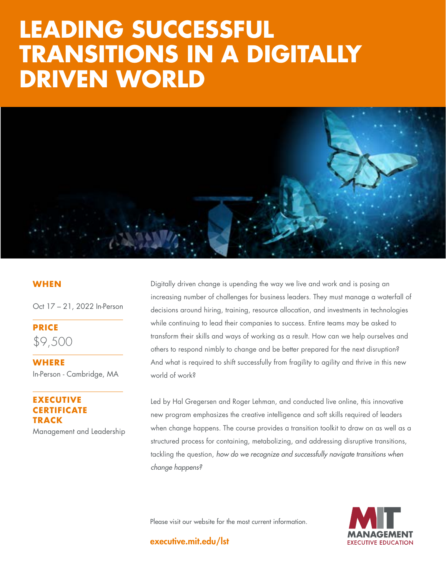# **TRANSITIONS IN A DIGITALLY STRATEGY:** DRIVEN WORLD **LEADING SUCCESSFUL**



### **WHEN**

Oct 17 – 21, 2022 In-Person

**PRICE** \$9,500

**WHERE**  In-Person - Cambridge, MA

## **ECUTIVE CERTIFICATE TRACK**

Management and Leadership

Digitally driven change is upending the way we live and work and is posing an increasing number of challenges for business leaders. They must manage a waterfall of decisions around hiring, training, resource allocation, and investments in technologies while continuing to lead their companies to success. Entire teams may be asked to transform their skills and ways of working as a result. How can we help ourselves and others to respond nimbly to change and be better prepared for the next disruption? And what is required to shift successfully from fragility to agility and thrive in this new world of work?

Led by Hal Gregersen and Roger Lehman, and conducted live online, this innovative new program emphasizes the creative intelligence and soft skills required of leaders when change happens. The course provides a transition toolkit to draw on as well as a structured process for containing, metabolizing, and addressing disruptive transitions, tackling the question, *how do we recognize and successfully navigate transitions when change happens?*

Please visit our website for the most current information.